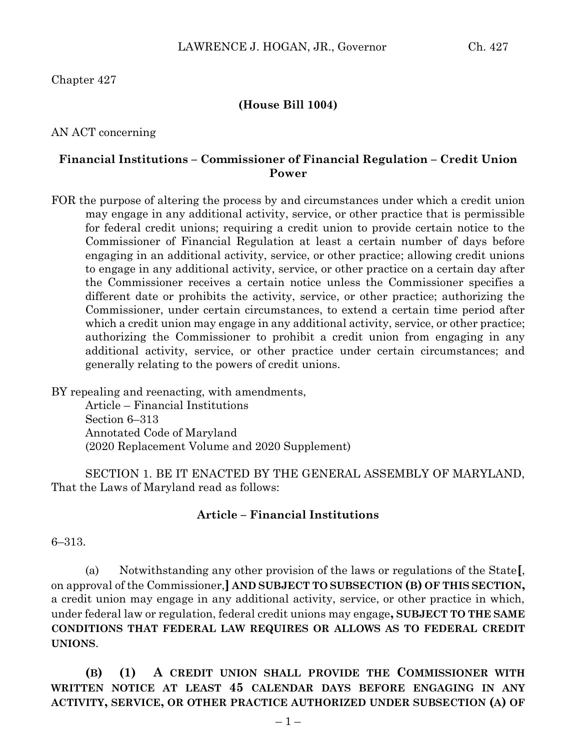## **(House Bill 1004)**

AN ACT concerning

## **Financial Institutions – Commissioner of Financial Regulation – Credit Union Power**

FOR the purpose of altering the process by and circumstances under which a credit union may engage in any additional activity, service, or other practice that is permissible for federal credit unions; requiring a credit union to provide certain notice to the Commissioner of Financial Regulation at least a certain number of days before engaging in an additional activity, service, or other practice; allowing credit unions to engage in any additional activity, service, or other practice on a certain day after the Commissioner receives a certain notice unless the Commissioner specifies a different date or prohibits the activity, service, or other practice; authorizing the Commissioner, under certain circumstances, to extend a certain time period after which a credit union may engage in any additional activity, service, or other practice; authorizing the Commissioner to prohibit a credit union from engaging in any additional activity, service, or other practice under certain circumstances; and generally relating to the powers of credit unions.

BY repealing and reenacting, with amendments, Article – Financial Institutions Section 6–313 Annotated Code of Maryland (2020 Replacement Volume and 2020 Supplement)

SECTION 1. BE IT ENACTED BY THE GENERAL ASSEMBLY OF MARYLAND, That the Laws of Maryland read as follows:

## **Article – Financial Institutions**

6–313.

(a) Notwithstanding any other provision of the laws or regulations of the State**[**, on approval of the Commissioner,**] AND SUBJECT TO SUBSECTION (B) OF THIS SECTION,** a credit union may engage in any additional activity, service, or other practice in which, under federal law or regulation, federal credit unions may engage**, SUBJECT TO THE SAME CONDITIONS THAT FEDERAL LAW REQUIRES OR ALLOWS AS TO FEDERAL CREDIT UNIONS**.

**(B) (1) A CREDIT UNION SHALL PROVIDE THE COMMISSIONER WITH WRITTEN NOTICE AT LEAST 45 CALENDAR DAYS BEFORE ENGAGING IN ANY ACTIVITY, SERVICE, OR OTHER PRACTICE AUTHORIZED UNDER SUBSECTION (A) OF**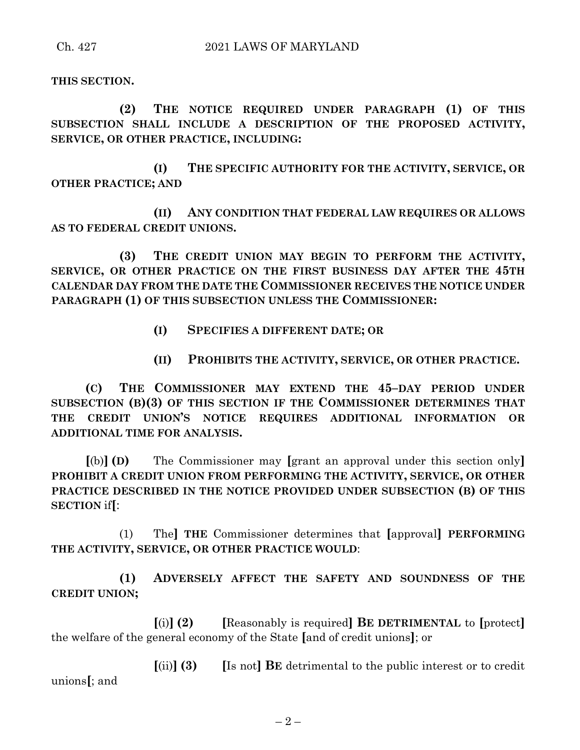**THIS SECTION.**

**(2) THE NOTICE REQUIRED UNDER PARAGRAPH (1) OF THIS SUBSECTION SHALL INCLUDE A DESCRIPTION OF THE PROPOSED ACTIVITY, SERVICE, OR OTHER PRACTICE, INCLUDING:**

**(I) THE SPECIFIC AUTHORITY FOR THE ACTIVITY, SERVICE, OR OTHER PRACTICE; AND**

**(II) ANY CONDITION THAT FEDERAL LAW REQUIRES OR ALLOWS AS TO FEDERAL CREDIT UNIONS.**

**(3) THE CREDIT UNION MAY BEGIN TO PERFORM THE ACTIVITY, SERVICE, OR OTHER PRACTICE ON THE FIRST BUSINESS DAY AFTER THE 45TH CALENDAR DAY FROM THE DATE THE COMMISSIONER RECEIVES THE NOTICE UNDER PARAGRAPH (1) OF THIS SUBSECTION UNLESS THE COMMISSIONER:**

- **(I) SPECIFIES A DIFFERENT DATE; OR**
- **(II) PROHIBITS THE ACTIVITY, SERVICE, OR OTHER PRACTICE.**

**(C) THE COMMISSIONER MAY EXTEND THE 45–DAY PERIOD UNDER SUBSECTION (B)(3) OF THIS SECTION IF THE COMMISSIONER DETERMINES THAT THE CREDIT UNION'S NOTICE REQUIRES ADDITIONAL INFORMATION OR ADDITIONAL TIME FOR ANALYSIS.**

**[**(b)**] (D)** The Commissioner may **[**grant an approval under this section only**] PROHIBIT A CREDIT UNION FROM PERFORMING THE ACTIVITY, SERVICE, OR OTHER PRACTICE DESCRIBED IN THE NOTICE PROVIDED UNDER SUBSECTION (B) OF THIS SECTION** if**[**:

(1) The**] THE** Commissioner determines that **[**approval**] PERFORMING THE ACTIVITY, SERVICE, OR OTHER PRACTICE WOULD**:

**(1) ADVERSELY AFFECT THE SAFETY AND SOUNDNESS OF THE CREDIT UNION;**

**[**(i)**] (2) [**Reasonably is required**] BE DETRIMENTAL** to **[**protect**]** the welfare of the general economy of the State **[**and of credit unions**]**; or

**[**(ii)**] (3) [**Is not**] BE** detrimental to the public interest or to credit unions**[**; and